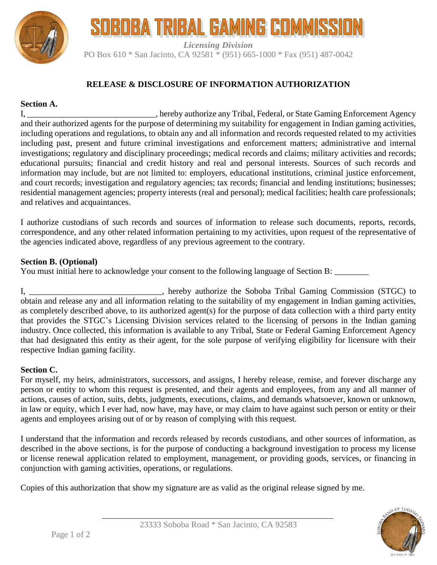

# SOBOBA TRIBAL GAMING COMMISSI

*Licensing Division* PO Box 610 \* San Jacinto, CA 92581 \* (951) 665-1000 \* Fax (951) 487-0042

# **RELEASE & DISCLOSURE OF INFORMATION AUTHORIZATION**

## **Section A.**

I, \_\_\_\_\_\_\_\_\_\_\_\_\_\_\_\_\_\_\_\_\_\_\_\_\_\_\_\_\_\_, hereby authorize any Tribal, Federal, or State Gaming Enforcement Agency and their authorized agents for the purpose of determining my suitability for engagement in Indian gaming activities, including operations and regulations, to obtain any and all information and records requested related to my activities including past, present and future criminal investigations and enforcement matters; administrative and internal investigations; regulatory and disciplinary proceedings; medical records and claims; military activities and records; educational pursuits; financial and credit history and real and personal interests. Sources of such records and information may include, but are not limited to: employers, educational institutions, criminal justice enforcement, and court records; investigation and regulatory agencies; tax records; financial and lending institutions; businesses; residential management agencies; property interests (real and personal); medical facilities; health care professionals; and relatives and acquaintances.

I authorize custodians of such records and sources of information to release such documents, reports, records, correspondence, and any other related information pertaining to my activities, upon request of the representative of the agencies indicated above, regardless of any previous agreement to the contrary.

#### **Section B. (Optional)**

You must initial here to acknowledge your consent to the following language of Section B: \_\_\_\_\_\_\_\_

I, \_\_\_\_\_\_\_\_\_\_\_\_\_\_\_\_\_\_\_\_\_\_\_\_\_\_\_\_\_\_\_, hereby authorize the Soboba Tribal Gaming Commission (STGC) to obtain and release any and all information relating to the suitability of my engagement in Indian gaming activities, as completely described above, to its authorized agent(s) for the purpose of data collection with a third party entity that provides the STGC's Licensing Division services related to the licensing of persons in the Indian gaming industry. Once collected, this information is available to any Tribal, State or Federal Gaming Enforcement Agency that had designated this entity as their agent, for the sole purpose of verifying eligibility for licensure with their respective Indian gaming facility.

## **Section C.**

For myself, my heirs, administrators, successors, and assigns, I hereby release, remise, and forever discharge any person or entity to whom this request is presented, and their agents and employees, from any and all manner of actions, causes of action, suits, debts, judgments, executions, claims, and demands whatsoever, known or unknown, in law or equity, which I ever had, now have, may have, or may claim to have against such person or entity or their agents and employees arising out of or by reason of complying with this request.

I understand that the information and records released by records custodians, and other sources of information, as described in the above sections, is for the purpose of conducting a background investigation to process my license or license renewal application related to employment, management, or providing goods, services, or financing in conjunction with gaming activities, operations, or regulations.

Copies of this authorization that show my signature are as valid as the original release signed by me.